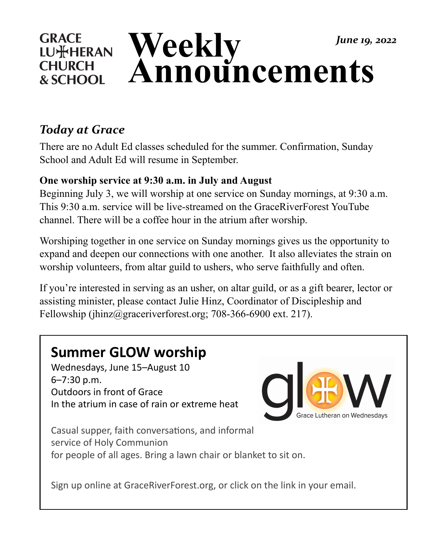#### **GRACE Weekly**  *June 19, 2022* **LU**\*HERAN **Announcements CHURCH** & SCHOOL

## *Today at Grace*

There are no Adult Ed classes scheduled for the summer. Confirmation, Sunday School and Adult Ed will resume in September.

### **One worship service at 9:30 a.m. in July and August**

Beginning July 3, we will worship at one service on Sunday mornings, at 9:30 a.m. This 9:30 a.m. service will be live-streamed on the GraceRiverForest YouTube channel. There will be a coffee hour in the atrium after worship.

Worshiping together in one service on Sunday mornings gives us the opportunity to expand and deepen our connections with one another. It also alleviates the strain on worship volunteers, from altar guild to ushers, who serve faithfully and often.

If you're interested in serving as an usher, on altar guild, or as a gift bearer, lector or assisting minister, please contact Julie Hinz, Coordinator of Discipleship and Fellowship (jhinz@graceriverforest.org; 708-366-6900 ext. 217).

# **Summer GLOW worship**

Wednesdays, June 15-August 10 6–7:30 p.m. Outdoors in front of Grace In the atrium in case of rain or extreme heat



Casual supper, faith conversations, and informal service of Holy Communion for people of all ages. Bring a lawn chair or blanket to sit on.

Sign up online at GraceRiverForest.org, or click on the link in your email.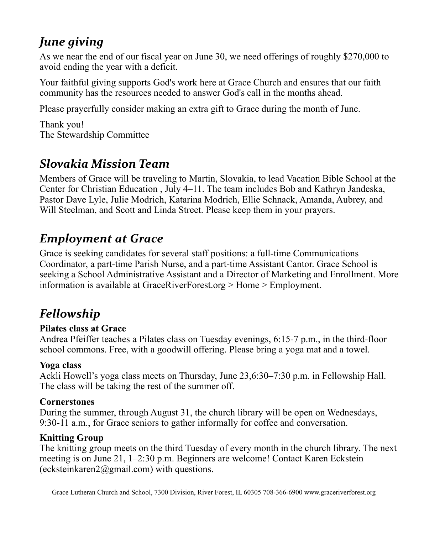## *June giving*

As we near the end of our fiscal year on June 30, we need offerings of roughly \$270,000 to avoid ending the year with a deficit.

Your faithful giving supports God's work here at Grace Church and ensures that our faith community has the resources needed to answer God's call in the months ahead.

Please prayerfully consider making an extra gift to Grace during the month of June.

Thank you! The Stewardship Committee

## *Slovakia Mission Team*

Members of Grace will be traveling to Martin, Slovakia, to lead Vacation Bible School at the Center for Christian Education , July 4–11. The team includes Bob and Kathryn Jandeska, Pastor Dave Lyle, Julie Modrich, Katarina Modrich, Ellie Schnack, Amanda, Aubrey, and Will Steelman, and Scott and Linda Street. Please keep them in your prayers.

## *Employment at Grace*

Grace is seeking candidates for several staff positions: a full-time Communications Coordinator, a part-time Parish Nurse, and a part-time Assistant Cantor. Grace School is seeking a School Administrative Assistant and a Director of Marketing and Enrollment. More information is available at GraceRiverForest.org > Home > Employment.

## *Fellowship*

### **Pilates class at Grace**

Andrea Pfeiffer teaches a Pilates class on Tuesday evenings, 6:15-7 p.m., in the third-floor school commons. Free, with a goodwill offering. Please bring a yoga mat and a towel.

### **Yoga class**

Ackli Howell's yoga class meets on Thursday, June 23,6:30–7:30 p.m. in Fellowship Hall. The class will be taking the rest of the summer off.

### **Cornerstones**

During the summer, through August 31, the church library will be open on Wednesdays, 9:30-11 a.m., for Grace seniors to gather informally for coffee and conversation.

### **Knitting Group**

The knitting group meets on the third Tuesday of every month in the church library. The next meeting is on June 21, 1–2:30 p.m. Beginners are welcome! Contact Karen Eckstein  $(eckstein karen 2@gmail.com)$  with questions.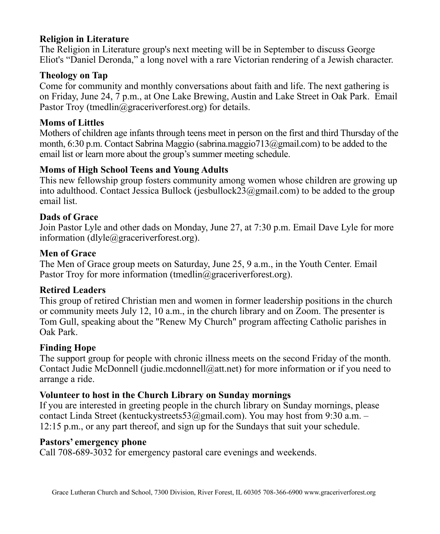#### **Religion in Literature**

The Religion in Literature group's next meeting will be in September to discuss George Eliot's "Daniel Deronda," a long novel with a rare Victorian rendering of a Jewish character.

### **Theology on Tap**

Come for community and monthly conversations about faith and life. The next gathering is on Friday, June 24, 7 p.m., at One Lake Brewing, Austin and Lake Street in Oak Park. Email Pastor Troy (tmedlin@graceriverforest.org) for details.

#### **Moms of Littles**

Mothers of children age infants through teens meet in person on the first and third Thursday of the month, 6:30 p.m. Contact Sabrina Maggio (sabrina.maggio713@gmail.com) to be added to the email list or learn more about the group's summer meeting schedule.

#### **Moms of High School Teens and Young Adults**

This new fellowship group fosters community among women whose children are growing up into adulthood. Contact Jessica Bullock (jesbullock23@gmail.com) to be added to the group email list.

#### **Dads of Grace**

Join Pastor Lyle and other dads on Monday, June 27, at 7:30 p.m. Email Dave Lyle for more information (dlyle@graceriverforest.org).

#### **Men of Grace**

The Men of Grace group meets on Saturday, June 25, 9 a.m., in the Youth Center. Email Pastor Troy for more information (tmedlin@graceriverforest.org).

#### **Retired Leaders**

This group of retired Christian men and women in former leadership positions in the church or community meets July 12, 10 a.m., in the church library and on Zoom. The presenter is Tom Gull, speaking about the "Renew My Church" program affecting Catholic parishes in Oak Park.

#### **Finding Hope**

The support group for people with chronic illness meets on the second Friday of the month. Contact Judie McDonnell (judie.mcdonnell@att.net) for more information or if you need to arrange a ride.

### **Volunteer to host in the Church Library on Sunday mornings**

If you are interested in greeting people in the church library on Sunday mornings, please contact Linda Street (kentuckystreets53@gmail.com). You may host from 9:30 a.m. – 12:15 p.m., or any part thereof, and sign up for the Sundays that suit your schedule.

#### **Pastors' emergency phone**

Call 708-689-3032 for emergency pastoral care evenings and weekends.